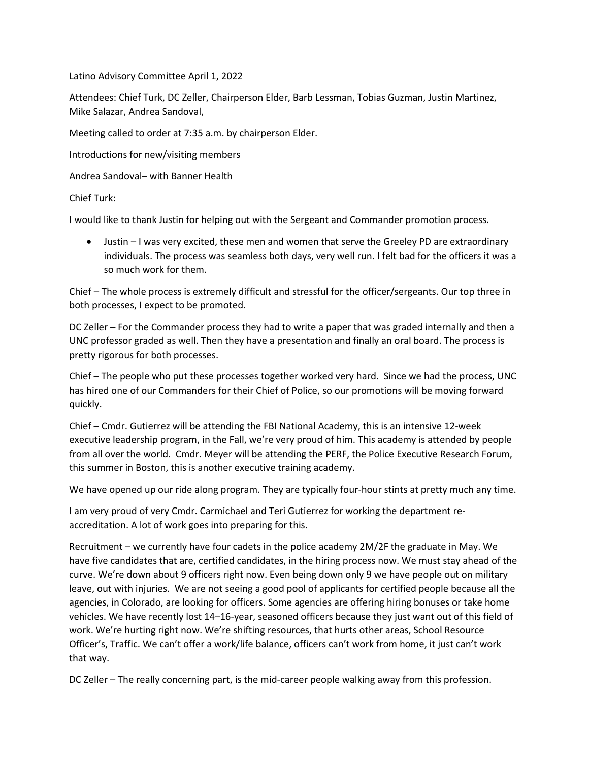Latino Advisory Committee April 1, 2022

Attendees: Chief Turk, DC Zeller, Chairperson Elder, Barb Lessman, Tobias Guzman, Justin Martinez, Mike Salazar, Andrea Sandoval,

Meeting called to order at 7:35 a.m. by chairperson Elder.

Introductions for new/visiting members

Andrea Sandoval– with Banner Health

Chief Turk:

I would like to thank Justin for helping out with the Sergeant and Commander promotion process.

• Justin – I was very excited, these men and women that serve the Greeley PD are extraordinary individuals. The process was seamless both days, very well run. I felt bad for the officers it was a so much work for them.

Chief – The whole process is extremely difficult and stressful for the officer/sergeants. Our top three in both processes, I expect to be promoted.

DC Zeller – For the Commander process they had to write a paper that was graded internally and then a UNC professor graded as well. Then they have a presentation and finally an oral board. The process is pretty rigorous for both processes.

Chief – The people who put these processes together worked very hard. Since we had the process, UNC has hired one of our Commanders for their Chief of Police, so our promotions will be moving forward quickly.

Chief – Cmdr. Gutierrez will be attending the FBI National Academy, this is an intensive 12-week executive leadership program, in the Fall, we're very proud of him. This academy is attended by people from all over the world. Cmdr. Meyer will be attending the PERF, the Police Executive Research Forum, this summer in Boston, this is another executive training academy.

We have opened up our ride along program. They are typically four-hour stints at pretty much any time.

I am very proud of very Cmdr. Carmichael and Teri Gutierrez for working the department reaccreditation. A lot of work goes into preparing for this.

Recruitment – we currently have four cadets in the police academy 2M/2F the graduate in May. We have five candidates that are, certified candidates, in the hiring process now. We must stay ahead of the curve. We're down about 9 officers right now. Even being down only 9 we have people out on military leave, out with injuries. We are not seeing a good pool of applicants for certified people because all the agencies, in Colorado, are looking for officers. Some agencies are offering hiring bonuses or take home vehicles. We have recently lost 14–16-year, seasoned officers because they just want out of this field of work. We're hurting right now. We're shifting resources, that hurts other areas, School Resource Officer's, Traffic. We can't offer a work/life balance, officers can't work from home, it just can't work that way.

DC Zeller – The really concerning part, is the mid-career people walking away from this profession.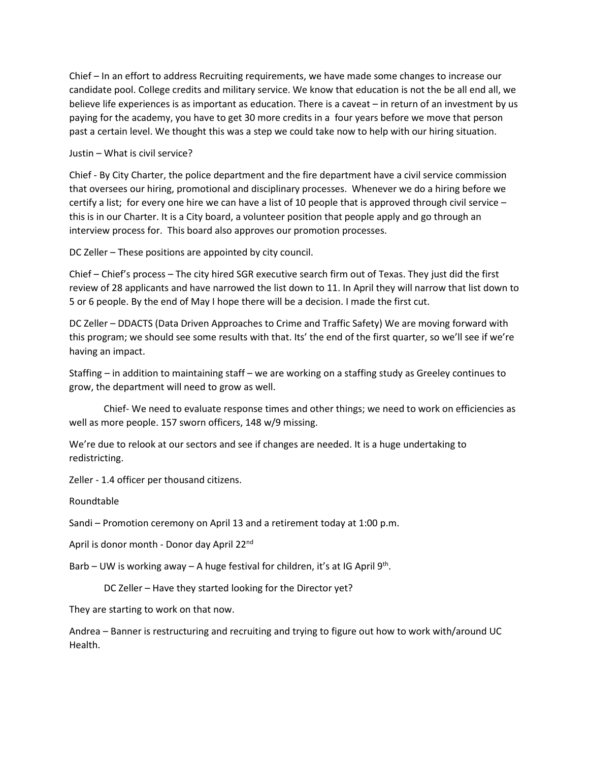Chief – In an effort to address Recruiting requirements, we have made some changes to increase our candidate pool. College credits and military service. We know that education is not the be all end all, we believe life experiences is as important as education. There is a caveat – in return of an investment by us paying for the academy, you have to get 30 more credits in a four years before we move that person past a certain level. We thought this was a step we could take now to help with our hiring situation.

## Justin – What is civil service?

Chief - By City Charter, the police department and the fire department have a civil service commission that oversees our hiring, promotional and disciplinary processes. Whenever we do a hiring before we certify a list; for every one hire we can have a list of 10 people that is approved through civil service – this is in our Charter. It is a City board, a volunteer position that people apply and go through an interview process for. This board also approves our promotion processes.

DC Zeller – These positions are appointed by city council.

Chief – Chief's process – The city hired SGR executive search firm out of Texas. They just did the first review of 28 applicants and have narrowed the list down to 11. In April they will narrow that list down to 5 or 6 people. By the end of May I hope there will be a decision. I made the first cut.

DC Zeller – DDACTS (Data Driven Approaches to Crime and Traffic Safety) We are moving forward with this program; we should see some results with that. Its' the end of the first quarter, so we'll see if we're having an impact.

Staffing – in addition to maintaining staff – we are working on a staffing study as Greeley continues to grow, the department will need to grow as well.

Chief- We need to evaluate response times and other things; we need to work on efficiencies as well as more people. 157 sworn officers, 148 w/9 missing.

We're due to relook at our sectors and see if changes are needed. It is a huge undertaking to redistricting.

Zeller - 1.4 officer per thousand citizens.

Roundtable

Sandi – Promotion ceremony on April 13 and a retirement today at 1:00 p.m.

April is donor month - Donor day April 22nd

Barb – UW is working away – A huge festival for children, it's at IG April  $9<sup>th</sup>$ .

DC Zeller – Have they started looking for the Director yet?

They are starting to work on that now.

Andrea – Banner is restructuring and recruiting and trying to figure out how to work with/around UC Health.